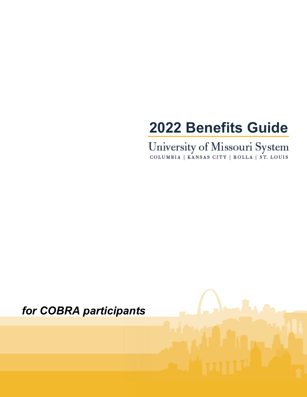### **2022 Benefits Guide**

University of Missouri System<br>
COLUMBIA | KANSAS CITY | ROLLA | ST. LOUIS

### *for COBRA participants*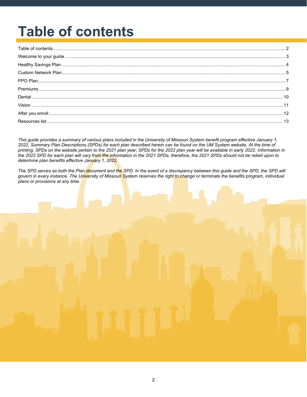# <span id="page-1-0"></span>**Table of contents**

*This guide provides a summary of various plans included in the University of Missouri System benefit program effective January 1, 2022. Summary Plan Descriptions (SPDs) for each plan described herein can be found on the UM System website. At the time of printing, SPDs on the website pertain to the 2021 plan year; SPDs for the 2022 plan year will be available in early 2022. Information in the 2022 SPD for each plan will vary from the information in the 2021 SPDs; therefore, the 2021 SPDs should not be relied upon to determine plan benefits effective January 1, 2022.* 

*The SPD serves as both the Plan document and the SPD. In the event of a discrepancy between this guide and the SPD, the SPD will govern in every instance. The University of Missouri System reserves the right to change or terminate the benefits program, individual plans or provisions at any time.*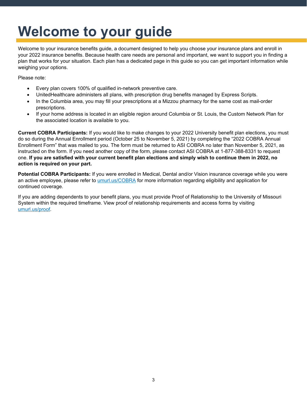### <span id="page-2-0"></span>**Welcome to your guide**

Welcome to your insurance benefits guide, a document designed to help you choose your insurance plans and enroll in your 2022 insurance benefits. Because health care needs are personal and important, we want to support you in finding a plan that works for your situation. Each plan has a dedicated page in this guide so you can get important information while weighing your options.

Please note:

- Every plan covers 100% of qualified in-network preventive care.
- UnitedHealthcare administers all plans, with prescription drug benefits managed by Express Scripts.
- In the Columbia area, you may fill your prescriptions at a Mizzou pharmacy for the same cost as mail-order prescriptions.
- If your home address is located in an eligible region around Columbia or St. Louis, the Custom Network Plan for the associated location is available to you.

**Current COBRA Participants:** If you would like to make changes to your 2022 University benefit plan elections, you must do so during the Annual Enrollment period (October 25 to November 5, 2021) by completing the "2022 COBRA Annual Enrollment Form" that was mailed to you. The form must be returned to ASI COBRA no later than November 5, 2021, as instructed on the form. If you need another copy of the form, please contact ASI COBRA at 1-877-388-8331 to request one. **If you are satisfied with your current benefit plan elections and simply wish to continue them in 2022, no action is required on your part.**

**Potential COBRA Participants:** If you were enrolled in Medical, Dental and/or Vision insurance coverage while you were an active employee, please refer to [umurl.us/COBRA](https://umurl.us/COBRA) for more information regarding eligibility and application for continued coverage.

If you are adding dependents to your benefit plans, you must provide Proof of Relationship to the University of Missouri System within the required timeframe. View proof of relationship requirements and access forms by visiting [umurl.us/proof.](http://umurl.us/proof)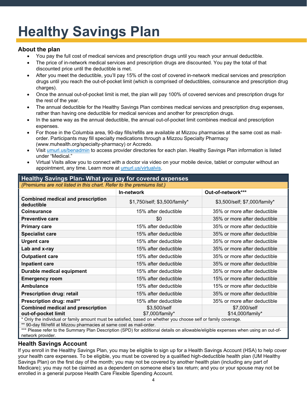# <span id="page-3-0"></span>**Healthy Savings Plan**

#### **About the plan**

- You pay the full cost of medical services and prescription drugs until you reach your annual deductible.
- The price of in-network medical services and prescription drugs are discounted. You pay the total of that discounted price until the deductible is met.
- After you meet the deductible, you'll pay 15% of the cost of covered in-network medical services and prescription drugs until you reach the out-of-pocket limit (which is comprised of deductibles, coinsurance and prescription drug charges).
- Once the annual out-of-pocket limit is met, the plan will pay 100% of covered services and prescription drugs for the rest of the year.
- The annual deductible for the Healthy Savings Plan combines medical services and prescription drug expenses, rather than having one deductible for medical services and another for prescription drugs.
- In the same way as the annual deductible, the annual out-of-pocket limit combines medical and prescription expenses.
- For those in the Columbia area, 90-day fills/refills are available at Mizzou pharmacies at the same cost as mailorder. Participants may fill specialty medications through a Mizzou Specialty Pharmacy (www.muhealth.org/specialty-pharmacy) or Accredo.
- Visit [umurl.us/benadmin](http://umurl.us/benadmin) to access provider directories for each plan. Healthy Savings Plan information is listed under "Medical."
- Virtual Visits allow you to connect with a doctor via video on your mobile device, tablet or computer without an appointment, any time. Learn more at [umurl.us/virtualvis.](http://umurl.us/virtualvis)

| (Premiums are not listed in this chart. Refer to the premiums list.)                                           |                                 |                                  |  |
|----------------------------------------------------------------------------------------------------------------|---------------------------------|----------------------------------|--|
|                                                                                                                | In-network                      | Out-of-network***                |  |
| <b>Combined medical and prescription</b><br>deductible                                                         | \$1,750/self; \$3,500/family*   | \$3,500/self; \$7,000/family*    |  |
| <b>Coinsurance</b>                                                                                             | 15% after deductible            | 35% or more after deductible     |  |
| <b>Preventive care</b>                                                                                         | \$0                             | 35% or more after deductible     |  |
| <b>Primary care</b>                                                                                            | 15% after deductible            | 35% or more after deductible     |  |
| <b>Specialist care</b>                                                                                         | 15% after deductible            | 35% or more after deductible     |  |
| <b>Urgent care</b>                                                                                             | 15% after deductible            | 35% or more after deductible     |  |
| Lab and x-ray                                                                                                  | 15% after deductible            | 35% or more after deductible     |  |
| <b>Outpatient care</b>                                                                                         | 15% after deductible            | 35% or more after deductible     |  |
| <b>Inpatient care</b>                                                                                          | 15% after deductible            | 35% or more after deductible     |  |
| Durable medical equipment                                                                                      | 15% after deductible            | 35% or more after deductible     |  |
| <b>Emergency room</b>                                                                                          | 15% after deductible            | 15% or more after deductible     |  |
| Ambulance                                                                                                      | 15% after deductible            | 15% or more after deductible     |  |
| <b>Prescription drug: retail</b>                                                                               | 15% after deductible            | 35% or more after deductible     |  |
| Prescription drug: mail**                                                                                      | 15% after deductible            | 35% or more after deductible     |  |
| <b>Combined medical and prescription</b><br>out-of-pocket limit                                                | \$3,500/self<br>\$7,000/family* | \$7,000/self<br>\$14,000/family* |  |
| * Only the individual or family amount must be satisfied, based on whether you choose self or family coverage. |                                 |                                  |  |

#### **Healthy Savings Plan- What you pay for covered expenses**

\* Only the individual or family amount must be satisfied, based on whether you choose self or family coverage.

\*\* 90-day fill/refill at Mizzou pharmacies at same cost as mail-order.

\*\*\* Please refer to the Summary Plan Description (SPD) for additional details on allowable/eligible expenses when using an out-ofnetwork provider.

### **Health Savings Account**

If you enroll in the Healthy Savings Plan, you may be eligible to sign up for a Health Savings Account (HSA) to help cover your health care expenses. To be eligible, you must be covered by a qualified high-deductible health plan (UM Healthy Savings Plan) on the first day of the month; you may not be covered by another health plan (including any part of Medicare); you may not be claimed as a dependent on someone else's tax return; and you or your spouse may not be enrolled in a general purpose Health Care Flexible Spending Account.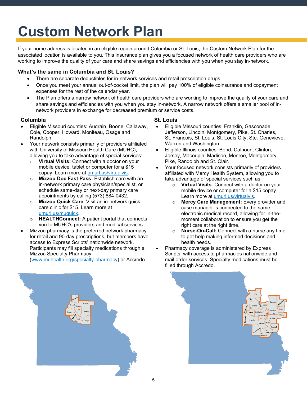# <span id="page-4-0"></span>**Custom Network Plan**

If your home address is located in an eligible region around Columbia or St. Louis, the Custom Network Plan for the associated location is available to you. This insurance plan gives you a focused network of health care providers who are working to improve the quality of your care and share savings and efficiencies with you when you stay in-network.

#### **What's the same in Columbia and St. Louis?**

- There are separate deductibles for in-network services and retail prescription drugs.
- Once you meet your annual out-of-pocket limit, the plan will pay 100% of eligible coinsurance and copayment expenses for the rest of the calendar year.
- The Plan offers a narrow network of health care providers who are working to improve the quality of your care and share savings and efficiencies with you when you stay in-network. A narrow network offers a smaller pool of innetwork providers in exchange for decreased premium or service costs.

#### **Columbia St. Louis**

- Eligible Missouri counties: Audrain, Boone, Callaway, Cole, Cooper, Howard, Moniteau, Osage and Randolph.
- Your network consists primarily of providers affiliated with University of Missouri Health Care (MUHC), allowing you to take advantage of special services:
	- o **Virtual Visits:** Connect with a doctor on your mobile device, tablet or computer for a \$15 copay. Learn more at umurl.us/virtualvis.
	- o **Mizzou Doc Fast Pass:** Establish care with an in-network primary care physician/specialist, or schedule same-day or next-day primary care appointments by calling (573) 884-0432.
	- o **Mizzou Quick Care**: Visit an in-network quick care clinic for \$15. Learn more at [umurl.us/muquick.](http://umurl.us/muquick)
	- o **HEALTHConnect:** A patient portal that connects you to MUHC's providers and medical services.
- Mizzou pharmacy is the preferred network pharmacy for retail and 90-day prescriptions, but members have access to Express Scripts' nationwide network. Participants may fill specialty medications through a Mizzou Specialty Pharmacy [\(www.muhealth.org/specialty-pharmacy\)](http://www.muhealth.org/specialty-pharmacy) or Accredo.

- Eligible Missouri counties: Franklin, Gasconade, Jefferson, Lincoln, Montgomery, Pike, St. Charles, St. Francois, St. Louis, St. Louis City, Ste. Genevieve, Warren and Washington.
- Eligible Illinois counties*:* Bond, Calhoun, Clinton, Jersey, Macoupin, Madison, Monroe, Montgomery, Pike, Randolph and St. Clair.
- Your focused network consists primarily of providers affiliated with Mercy Health System, allowing you to take advantage of special services such as:
	- o **Virtual Visits**: Connect with a doctor on your mobile device or computer for a \$15 copay. Learn more at umurl.us/virtualvis.
	- o **Mercy Care Management:** Every provider and case manager is connected to the same electronic medical record, allowing for in-themoment collaboration to ensure you get the right care at the right time.
	- o **Nurse-On-Call:** Connect with a nurse any time to get help making informed decisions and health needs.
- Pharmacy coverage is administered by Express Scripts, with access to pharmacies nationwide and mail order services. Specialty medications must be filled through Accredo.



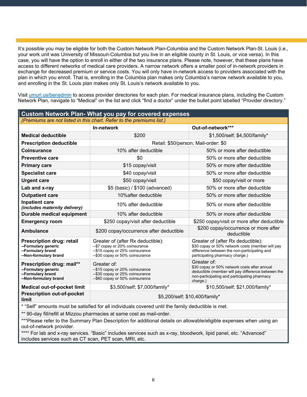It's possible you may be eligible for both the Custom Network Plan-Columbia and the Custom Network Plan-St. Louis (i.e., your work unit was University of Missouri-Columbia but you live in an eligible county in St. Louis, or vice versa). In this case, you will have the option to enroll in either of the two insurance plans. Please note, however, that these plans have access to different networks of medical care providers. A narrow network offers a smaller pool of in-network providers in exchange for decreased premium or service costs. You will only have in-network access to providers associated with the plan in which you enroll. That is, enrolling in the Columbia plan makes only Columbia's narrow network available to you, and enrolling in the St. Louis plan makes only St. Louis's network available to you.

Visit [umurl.us/benadmin](http://umurl.us/benadmin) to access provider directories for each plan. For medical insurance plans, including the Custom Network Plan, navigate to "Medical" on the list and click "find a doctor" under the bullet point labelled "Provider directory."

| <b>Custom Network Plan- What you pay for covered expenses</b>                                      |                                                                                                                                                                                                                                                                                                                         |                                                    |  |
|----------------------------------------------------------------------------------------------------|-------------------------------------------------------------------------------------------------------------------------------------------------------------------------------------------------------------------------------------------------------------------------------------------------------------------------|----------------------------------------------------|--|
| (Premiums are not listed in this chart. Refer to the premiums list.)                               |                                                                                                                                                                                                                                                                                                                         |                                                    |  |
|                                                                                                    | In-network                                                                                                                                                                                                                                                                                                              | Out-of-network***                                  |  |
| <b>Medical deductible</b>                                                                          | \$200                                                                                                                                                                                                                                                                                                                   | \$1,500/self; \$4,500/family*                      |  |
| <b>Prescription deductible</b>                                                                     |                                                                                                                                                                                                                                                                                                                         | Retail: \$50/person; Mail-order: \$0               |  |
| <b>Coinsurance</b>                                                                                 | 10% after deductible                                                                                                                                                                                                                                                                                                    | 50% or more after deductible                       |  |
| <b>Preventive care</b>                                                                             | \$0                                                                                                                                                                                                                                                                                                                     | 50% or more after deductible                       |  |
| <b>Primary care</b>                                                                                | \$15 copay/visit                                                                                                                                                                                                                                                                                                        | 50% or more after deductible                       |  |
| <b>Specialist care</b>                                                                             | \$40 copay/visit                                                                                                                                                                                                                                                                                                        | 50% or more after deductible                       |  |
| <b>Urgent care</b>                                                                                 | \$50 copay/visit                                                                                                                                                                                                                                                                                                        | \$50 copay/visit or more                           |  |
| Lab and x-ray                                                                                      | \$5 (basic) / \$100 (advanced)                                                                                                                                                                                                                                                                                          | 50% or more after deductible                       |  |
| <b>Outpatient care</b>                                                                             | 10% after deductible                                                                                                                                                                                                                                                                                                    | 50% or more after deductible                       |  |
| <b>Inpatient care</b><br>(includes maternity delivery)                                             | 10% after deductible                                                                                                                                                                                                                                                                                                    | 50% or more after deductible                       |  |
| <b>Durable medical equipment</b>                                                                   | 10% after deductible                                                                                                                                                                                                                                                                                                    | 50% or more after deductible                       |  |
| <b>Emergency room</b>                                                                              | \$250 copay/visit after deductible                                                                                                                                                                                                                                                                                      | \$250 copay/visit or more after deductible         |  |
| <b>Ambulance</b>                                                                                   | \$200 copay/occurrence after deductible                                                                                                                                                                                                                                                                                 | \$200 copay/occurrence or more after<br>deductible |  |
| Prescription drug: retail<br>--Formulary generic<br>--Formulary brand<br>--Non-formulary brand     | Greater of (after Rx deductible):<br>Greater of (after Rx deductible):<br>--\$7 copay or 20% coinsurance<br>\$30 copay or 50% network costs (member will pay<br>-- \$15 copay or 25% coinsurance<br>difference between the non-participating and<br>-- \$30 copay or 50% coinsurance<br>participating pharmacy charge.) |                                                    |  |
| Prescription drug: mail**<br>--Formulary generic<br>--Formulary brand<br>--Non-formulary brand     | Greater of:<br>Greater of:<br>\$30 copay or 50% network costs after annual<br>--\$15 copay or 20% coinsurance<br>deductible (member will pay difference between the<br>--\$30 copay or 25% coinsurance<br>non-participating and participating pharmacy<br>--\$60 copay or 50% coinsurance<br>charge.)                   |                                                    |  |
| <b>Medical out-of-pocket limit</b>                                                                 | \$3,500/self; \$7,000/family*<br>\$10,500/self; \$21,000/family*                                                                                                                                                                                                                                                        |                                                    |  |
| <b>Prescription out-of-pocket</b><br>limit                                                         | \$5,200/self; \$10,400/family*                                                                                                                                                                                                                                                                                          |                                                    |  |
| * "Self" amounts must be satisfied for all individuals covered until the family deductible is met. |                                                                                                                                                                                                                                                                                                                         |                                                    |  |
| ** 90-day fill/refill at Mizzou pharmacies at same cost as mail-order.                             |                                                                                                                                                                                                                                                                                                                         |                                                    |  |

\*\*\*Please refer to the Summary Plan Description for additional details on allowable/eligible expenses when using an out-of-network provider.

\*\*\*\* For lab and x-ray services. "Basic" includes services such as x-ray, bloodwork, lipid panel, etc. "Advanced" includes services such as CT scan, PET scan, MRI, etc.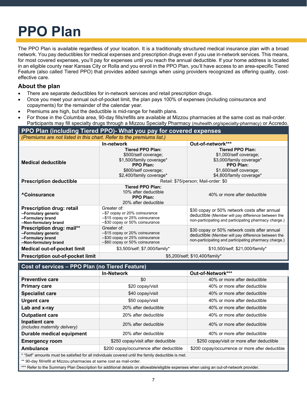## <span id="page-6-0"></span>**PPO Plan**

The PPO Plan is available regardless of your location. It is a traditionally structured medical insurance plan with a broad network. You pay deductibles for medical expenses and prescription drugs even if you use in-network services. This means, for most covered expenses, you'll pay for expenses until you reach the annual deductible. If your home address is located in an eligible county near Kansas City or Rolla and you enroll in the PPO Plan, you'll have access to an area-specific Tiered Feature (also called Tiered PPO) that provides added savings when using providers recognized as offering quality, costeffective care.

### **About the plan**

- There are separate deductibles for in-network services and retail prescription drugs.
- Once you meet your annual out-of-pocket limit, the plan pays 100% of expenses (including coinsurance and copayments) for the remainder of the calendar year.
- Premiums are high, but the deductible is mid-range for health plans.
- For those in the Columbia area, 90-day fills/refills are available at Mizzou pharmacies at the same cost as mail-order. Participants may fill specialty drugs through a Mizzou Specialty Pharmacy (muhealth.org/specialty-pharmacy) or Accredo.

#### **PPO Plan (including Tiered PPO)- What you pay for covered expenses** *(Premiums are not listed in this chart. Refer to the premiums list.)* **In-network Out-of-network\*\*\* Medical deductible Tiered PPO Plan:**  \$500/self coverage; \$1,500/family coverage\* **PPO Plan:**  \$800/self coverage; \$2,400/family coverage\* **Tiered PPO Plan:**  \$1,000/self coverage; \$3,000/family coverage\* **PPO Plan:**  \$1,600/self coverage; \$4,800/family coverage\*

| <b>Prescription deductible</b>                                                                        | Retail: \$75/person; Mail-order: \$0                                                                                 |                                                                                                                                                             |  |
|-------------------------------------------------------------------------------------------------------|----------------------------------------------------------------------------------------------------------------------|-------------------------------------------------------------------------------------------------------------------------------------------------------------|--|
| <sup>A</sup> Coinsurance                                                                              | <b>Tiered PPO Plan:</b><br>10% after deductible<br><b>PPO Plan:</b><br>20% after deductible                          | 40% or more after deductible                                                                                                                                |  |
| <b>Prescription drug: retail</b><br>--Formulary generic<br>--Formulary brand<br>--Non-formulary brand | Greater of:<br>--\$7 copay or 20% coinsurance<br>--\$15 copay or 25% coinsurance<br>--\$30 copay or 50% coinsurance  | \$30 copay or 50% network costs after annual<br>deductible (Member will pay difference between the<br>non-participating and participating pharmacy charge.) |  |
| Prescription drug: mail**<br>--Formulary generic<br>--Formulary brand<br>--Non-formulary brand        | Greater of:<br>--\$15 copay or 20% coinsurance<br>--\$30 copay or 25% coinsurance<br>--\$60 copay or 50% coinsurance | \$30 copay or 50% network costs after annual<br>deductible (Member will pay difference between the<br>non-participating and participating pharmacy charge.) |  |
| <b>Medical out-of-pocket limit</b>                                                                    | \$3,500/self; \$7,000/family*                                                                                        | \$10,500/self; \$21,000/family*                                                                                                                             |  |
| <b>Prescription out-of-pocket limit</b>                                                               | \$5,200/self; \$10,400/family*                                                                                       |                                                                                                                                                             |  |

#### **Cost of services – PPO Plan (no Tiered Feature) In-Network Out-of-Network\*\*\* Preventive care Alternation 1** 40% or more after deductible **Primary care 1988 1989 320** copay/visit **1989 40% or more after deductible Specialist care 1988 Specialist care 1988 340 copay/visit 40% or more after deductible Urgent care 120 Conserverse 10 Conserverse 10 Conserverse 10 Conserverse 40% or more after deductible Lab and x-ray** 20 A 20% after deductible 40% or more after deductible 40% or more after deductible **Outpatient care** 20% after deductible 40% or more after deductible 40% or more after deductible **Inpatient care III patient Care**<br>(includes maternity delivery) The 40% or more after deductible 40% or more after deductible **Durable medical equipment** 20% after deductible 40% or more after deductible **Emergency room**  $\frac{1}{250 \text{ copay/visit after deductible}}$  \$250 copay/visit at term on the set of the set of the set of the set of the set of the set of the set of the set of the set of the set of the set of the set of the set of the set of **Ambulance 1200 Copay/occurrence after deductible 1**\$200 copay/occurrence or more after deductible \* "Self" amounts must be satisfied for all individuals covered until the family deductible is met. \*\* 90-day fill/refill at Mizzou pharmacies at same cost as mail-order.

\*\*\* Refer to the Summary Plan Description for additional details on allowable/eligible expenses when using an out-of-network provider.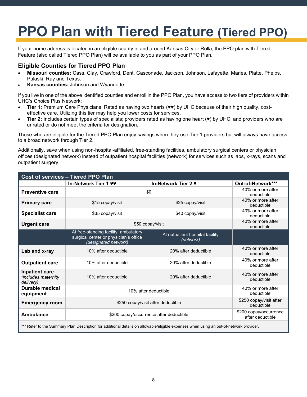### **PPO Plan with Tiered Feature (Tiered PPO)**

If your home address is located in an eligible county in and around Kansas City or Rolla, the PPO plan with Tiered Feature (also called Tiered PPO Plan) will be available to you as part of your PPO Plan.

#### **Eligible Counties for Tiered PPO Plan**

- **Missouri counties:** Cass, Clay, Crawford, Dent, Gasconade, Jackson, Johnson, Lafayette, Maries, Platte, Phelps, Pulaski, Ray and Texas.
- **Kansas counties:** Johnson and Wyandotte.

If you live in one of the above identified counties and enroll in the PPO Plan, you have access to two tiers of providers within UHC's Choice Plus Network:

- **Tier 1:** Premium Care Physicians. Rated as having two hearts (♥♥) by UHC because of their high quality, costeffective care. Utilizing this tier may help you lower costs for services.
- **Tier 2:** Includes certain types of specialists; providers rated as having one heart (♥) by UHC; and providers who are unrated or do not meet the criteria for designation.

Those who are eligible for the Tiered PPO Plan enjoy savings when they use Tier 1 providers but will always have access to a broad network through Tier 2.

Additionally, save when using non-hospital-affiliated, free-standing facilities, ambulatory surgical centers or physician offices (designated network) instead of outpatient hospital facilities (network) for services such as labs, x-rays, scans and outpatient surgery.

| <b>Cost of services - Tiered PPO Plan</b>                                                                                              |                                                                                                        |                                              |                                 |
|----------------------------------------------------------------------------------------------------------------------------------------|--------------------------------------------------------------------------------------------------------|----------------------------------------------|---------------------------------|
|                                                                                                                                        | In-Network Tier 1 <b>vv</b>                                                                            | In-Network Tier 2 ♥                          | Out-of-Network***               |
| <b>Preventive care</b>                                                                                                                 |                                                                                                        | \$0                                          | 40% or more after<br>deductible |
| <b>Primary care</b>                                                                                                                    | \$15 copay/visit                                                                                       | \$25 copay/visit                             | 40% or more after<br>deductible |
| <b>Specialist care</b>                                                                                                                 | \$35 copay/visit                                                                                       | \$40 copay/visit                             | 40% or more after<br>deductible |
| <b>Urgent care</b>                                                                                                                     |                                                                                                        | \$50 copay/visit                             | 40% or more after<br>deductible |
|                                                                                                                                        | At free-standing facility, ambulatory<br>surgical center or physician's office<br>(designated network) | At outpatient hospital facility<br>(network) |                                 |
| Lab and x-ray                                                                                                                          | 10% after deductible                                                                                   | 20% after deductible                         | 40% or more after<br>deductible |
| <b>Outpatient care</b>                                                                                                                 | 10% after deductible                                                                                   | 20% after deductible                         | 40% or more after<br>deductible |
| <b>Inpatient care</b><br>(includes maternity<br>delivery)                                                                              | 10% after deductible                                                                                   | 20% after deductible                         | 40% or more after<br>deductible |
| Durable medical<br>equipment                                                                                                           | 40% or more after<br>10% after deductible<br>deductible                                                |                                              |                                 |
| <b>Emergency room</b>                                                                                                                  | \$250 copay/visit after deductible<br>deductible                                                       |                                              | \$250 copay/visit after         |
| <b>Ambulance</b>                                                                                                                       | \$200 copay/occurrence<br>\$200 copay/occurrence after deductible<br>after deductible                  |                                              |                                 |
| *** Refer to the Summary Plan Description for additional details on allowable/eligible expenses when using an out-of-network provider. |                                                                                                        |                                              |                                 |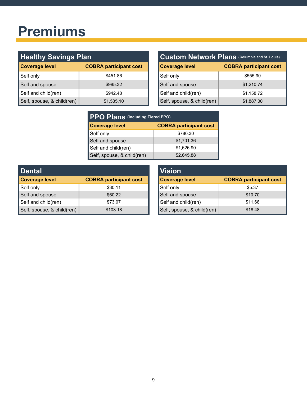### <span id="page-8-0"></span>**Premiums**

| <b>Healthy Savings Plan</b> |                               | Custom Network Plans (Columbia and St. Louis) |                               |
|-----------------------------|-------------------------------|-----------------------------------------------|-------------------------------|
| Coverage level              | <b>COBRA participant cost</b> | <b>Coverage level</b>                         | <b>COBRA participant cost</b> |
| Self only                   | \$451.86                      | Self only                                     | \$555.90                      |
| Self and spouse             | \$985.32                      | Self and spouse                               | \$1,210.74                    |
| Self and child(ren)         | \$942.48                      | Self and child(ren)                           | \$1,158.72                    |
| Self, spouse, & child(ren)  | \$1,535.10                    | Self, spouse, & child(ren)                    | \$1,887.00                    |

| Custom Network Plans (Columbia and St. Louis) |                               |  |
|-----------------------------------------------|-------------------------------|--|
| <b>Coverage level</b>                         | <b>COBRA participant cost</b> |  |
| Self only                                     | \$555.90                      |  |
| Self and spouse                               | \$1,210.74                    |  |
| Self and child(ren)                           | \$1,158.72                    |  |
| Self, spouse, & child(ren)                    | \$1,887.00                    |  |

| <b>PPO Plans (including Tiered PPO)</b> |                               |  |
|-----------------------------------------|-------------------------------|--|
| <b>Coverage level</b>                   | <b>COBRA participant cost</b> |  |
| Self only                               | \$780.30                      |  |
| Self and spouse                         | \$1,701.36                    |  |
| Self and child(ren)                     | \$1,626.90                    |  |
| Self, spouse, & child(ren)              | \$2,645.88                    |  |

| <b>Dental</b>              |                               | <b>Vision</b>              |
|----------------------------|-------------------------------|----------------------------|
| <b>Coverage level</b>      | <b>COBRA participant cost</b> | <b>Coverage level</b>      |
| Self only                  | \$30.11                       | Self only                  |
| Self and spouse            | \$60.22                       | Self and spouse            |
| Self and child(ren)        | \$73.07                       | Self and child(ren)        |
| Self, spouse, & child(ren) | \$103.18                      | Self, spouse, & child(ren) |

| <b>Vision</b>              |                               |
|----------------------------|-------------------------------|
| <b>Coverage level</b>      | <b>COBRA participant cost</b> |
| Self only                  | \$5.37                        |
| Self and spouse            | \$10.70                       |
| Self and child(ren)        | \$11.68                       |
| Self, spouse, & child(ren) | \$18.48                       |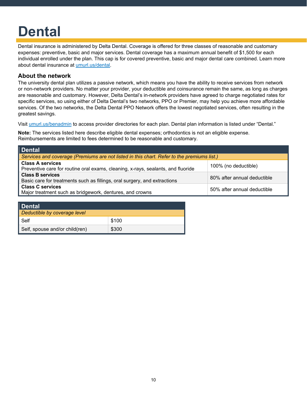# <span id="page-9-0"></span>**Dental**

Dental insurance is administered by Delta Dental. Coverage is offered for three classes of reasonable and customary expenses: preventive, basic and major services. Dental coverage has a maximum annual benefit of \$1,500 for each individual enrolled under the plan. This cap is for covered preventive, basic and major dental care combined. Learn more about dental insurance at umurl.us/dental.

#### **About the network**

The university dental plan utilizes a passive network, which means you have the ability to receive services from network or non-network providers. No matter your provider, your deductible and coinsurance remain the same, as long as charges are reasonable and customary. However, Delta Dental's in-network providers have agreed to charge negotiated rates for specific services, so using either of Delta Dental's two networks, PPO or Premier, may help you achieve more affordable services. Of the two networks, the Delta Dental PPO Network offers the lowest negotiated services, often resulting in the greatest savings.

Visit umurl.us/benadmin to access provider directories for each plan. Dental plan information is listed under "Dental."

**Note:** The services listed here describe eligible dental expenses; orthodontics is not an eligible expense. Reimbursements are limited to fees determined to be reasonable and customary.

| <b>Dental</b>                                                                                                                       |                             |  |  |
|-------------------------------------------------------------------------------------------------------------------------------------|-----------------------------|--|--|
| Services and coverage (Premiums are not listed in this chart. Refer to the premiums list.)                                          |                             |  |  |
| <b>Class A services</b><br>100% (no deductible)<br>Preventive care for routine oral exams, cleaning, x-rays, sealants, and fluoride |                             |  |  |
| <b>Class B services</b><br>Basic care for treatments such as fillings, oral surgery, and extractions                                | 80% after annual deductible |  |  |
| <b>Class C services</b><br>Major treatment such as bridgework, dentures, and crowns                                                 | 50% after annual deductible |  |  |

| <b>Dental</b>                  |       |
|--------------------------------|-------|
| Deductible by coverage level   |       |
| Self                           | \$100 |
| Self, spouse and/or child(ren) | \$300 |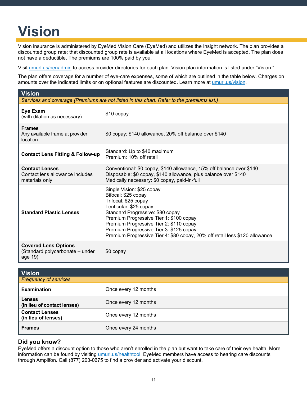## <span id="page-10-0"></span>**Vision**

Vision insurance is administered by EyeMed Vision Care (EyeMed) and utilizes the Insight network. The plan provides a discounted group rate; that discounted group rate is available at all locations where EyeMed is accepted. The plan does not have a deductible. The premiums are 100% paid by you.

Visit [umurl.us/benadmin](http://umurl.us/benadmin) to access provider directories for each plan. Vision plan information is listed under "Vision."

The plan offers coverage for a number of eye-care expenses, some of which are outlined in the table below. Charges on amounts over the indicated limits or on optional features are discounted. Learn more at [umurl.us/vision.](http://umurl.us/vision)

| <b>Vision</b>                                                                              |                                                                                                                                                                                                                                                                                                                                                        |  |  |  |
|--------------------------------------------------------------------------------------------|--------------------------------------------------------------------------------------------------------------------------------------------------------------------------------------------------------------------------------------------------------------------------------------------------------------------------------------------------------|--|--|--|
| Services and coverage (Premiums are not listed in this chart. Refer to the premiums list.) |                                                                                                                                                                                                                                                                                                                                                        |  |  |  |
| Eye Exam<br>(with dilation as necessary)                                                   | \$10 copay                                                                                                                                                                                                                                                                                                                                             |  |  |  |
| <b>Frames</b><br>Any available frame at provider<br>location                               | \$0 copay; \$140 allowance, 20% off balance over \$140                                                                                                                                                                                                                                                                                                 |  |  |  |
| <b>Contact Lens Fitting &amp; Follow-up</b>                                                | Standard: Up to \$40 maximum<br>Premium: 10% off retail                                                                                                                                                                                                                                                                                                |  |  |  |
| <b>Contact Lenses</b><br>Contact lens allowance includes<br>materials only                 | Conventional: \$0 copay, \$140 allowance, 15% off balance over \$140<br>Disposable: \$0 copay, \$140 allowance, plus balance over \$140<br>Medically necessary: \$0 copay, paid-in-full                                                                                                                                                                |  |  |  |
| <b>Standard Plastic Lenses</b>                                                             | Single Vision: \$25 copay<br>Bifocal: \$25 copay<br>Trifocal: \$25 copay<br>Lenticular: \$25 copay<br>Standard Progressive: \$80 copay<br>Premium Progressive Tier 1: \$100 copay<br>Premium Progressive Tier 2: \$110 copay<br>Premium Progressive Tier 3: \$125 copay<br>Premium Progressive Tier 4: \$80 copay, 20% off retail less \$120 allowance |  |  |  |
| <b>Covered Lens Options</b><br>(Standard polycarbonate – under<br>age 19)                  | \$0 copay                                                                                                                                                                                                                                                                                                                                              |  |  |  |

| <b>Vision</b>                                |                      |  |  |
|----------------------------------------------|----------------------|--|--|
| <b>Frequency of services</b>                 |                      |  |  |
| <b>Examination</b>                           | Once every 12 months |  |  |
| Lenses<br>(in lieu of contact lenses)        | Once every 12 months |  |  |
| <b>Contact Lenses</b><br>(in lieu of lenses) | Once every 12 months |  |  |
| <b>Frames</b>                                | Once every 24 months |  |  |

#### **Did you know?**

EyeMed offers a discount option to those who aren't enrolled in the plan but want to take care of their eye health. More information can be found by visiting [umurl.us/healthtool.](https://umurl.us/healthtool) EyeMed members have access to hearing care discounts through Amplifon. Call (877) 203-0675 to find a provider and activate your discount.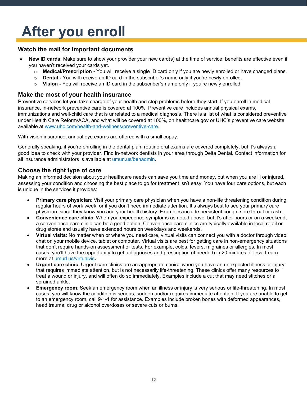### <span id="page-11-0"></span>**After you enroll**

#### **Watch the mail for important documents**

- **New ID cards***.* Make sure to show your provider your new card(s) at the time of service; benefits are effective even if you haven't received your cards yet.
	- o **Medical/Prescription -** You will receive a single ID card only if you are newly enrolled or have changed plans.
	- o **Dental -** You will receive an ID card in the subscriber's name only if you're newly enrolled.
	- o **Vision -** You will receive an ID card in the subscriber's name only if you're newly enrolled.

#### **Make the most of your health insurance**

Preventive services let you take charge of your health and stop problems before they start. If you enroll in medical insurance, in-network preventive care is covered at 100%. Preventive care includes annual physical exams, immunizations and well-child care that is unrelated to a medical diagnosis. There is a list of what is considered preventive under Health Care Reform/ACA, and what will be covered at 100%, on healthcare.gov or UHC's preventive care website, available at [www.uhc.com/health-and-wellness/preventive-care.](http://www.uhc.com/health-and-wellness/preventive-care)

With vision insurance, annual eye exams are offered with a small copay.

Generally speaking, if you're enrolling in the dental plan, routine oral exams are covered completely, but it's always a good idea to check with your provider. Find in-network dentists in your area through Delta Dental. Contact information for all insurance administrators is available at [umurl.us/benadmin.](http://umurl.us/benadmin)

#### **Choose the right type of care**

Making an informed decision about your healthcare needs can save you time and money, but when you are ill or injured, assessing your condition and choosing the best place to go for treatment isn't easy. You have four care options, but each is unique in the services it provides:

- **Primary care physician**: Visit your primary care physician when you have a non-life threatening condition during regular hours of work week, or if you don't need immediate attention. It's always best to see your primary care physician, since they know you and your health history. Examples include persistent cough, sore throat or rash.
- **Convenience care clinic**: When you experience symptoms as noted above, but it's after hours or on a weekend, a convenience care clinic can be a good option. Convenience care clinics are typically available in local retail or drug stores and usually have extended hours on weekdays and weekends.
- **Virtual visits**: No matter when or where you need care, virtual visits can connect you with a doctor through video chat on your mobile device, tablet or computer. Virtual visits are best for getting care in non-emergency situations that don't require hands-on assessment or tests. For example, colds, fevers, migraines or allergies. In most cases, you'll have the opportunity to get a diagnoses and prescription (if needed) in 20 minutes or less. Learn more at [umurl.us/virtualvis.](http://umurl.us/virtualvis)
- **Urgent care clinic**: Urgent care clinics are an appropriate choice when you have an unexpected illness or injury that requires immediate attention, but is not necessarily life-threatening. These clinics offer many resources to treat a wound or injury, and will often do so immediately. Examples include a cut that may need stitches or a sprained ankle.
- **Emergency room**: Seek an emergency room when an illness or injury is very serious or life-threatening. In most cases, you will know the condition is serious, sudden and/or requires immediate attention. If you are unable to get to an emergency room, call 9-1-1 for assistance. Examples include broken bones with deformed appearances, head trauma, drug or alcohol overdoses or severe cuts or burns.